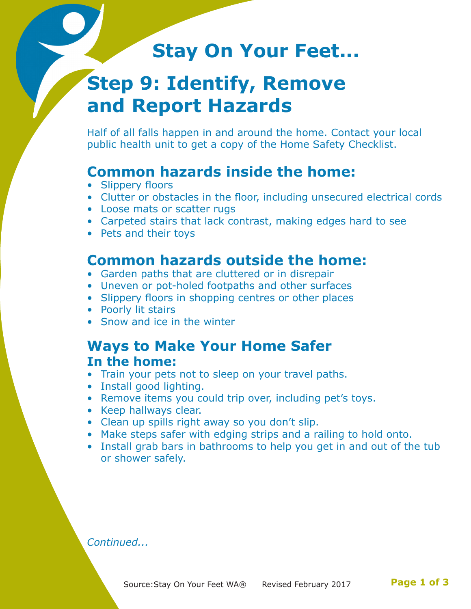# **Stay On Your Feet...**

# **Step 9: Identify, Remove and Report Hazards**

Half of all falls happen in and around the home. Contact your local public health unit to get a copy of the Home Safety Checklist.

## **Common hazards inside the home:**

- Slippery floors
- Clutter or obstacles in the floor, including unsecured electrical cords
- Loose mats or scatter rugs
- Carpeted stairs that lack contrast, making edges hard to see
- Pets and their toys

### **Common hazards outside the home:**

- Garden paths that are cluttered or in disrepair
- Uneven or pot-holed footpaths and other surfaces
- Slippery floors in shopping centres or other places
- Poorly lit stairs
- Snow and ice in the winter

### **Ways to Make Your Home Safer In the home:**

- Train your pets not to sleep on your travel paths.
- Install good lighting.
- Remove items you could trip over, including pet's toys.
- Keep hallways clear.
- Clean up spills right away so you don't slip.
- Make steps safer with edging strips and a railing to hold onto.
- Install grab bars in bathrooms to help you get in and out of the tub or shower safely.

*Continued...*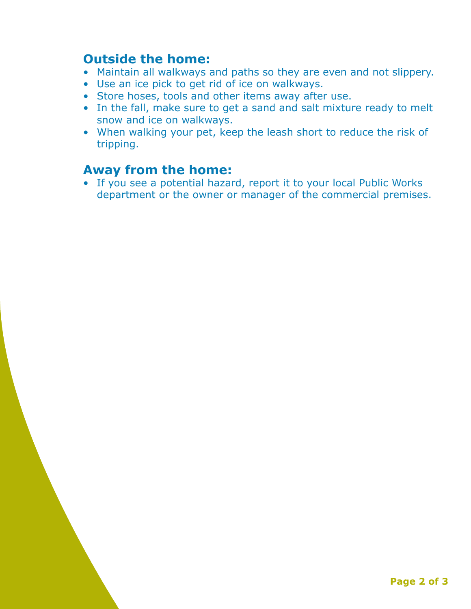#### **Outside the home:**

- Maintain all walkways and paths so they are even and not slippery.
- Use an ice pick to get rid of ice on walkways.
- Store hoses, tools and other items away after use.
- In the fall, make sure to get a sand and salt mixture ready to melt snow and ice on walkways.
- When walking your pet, keep the leash short to reduce the risk of tripping.

#### **Away from the home:**

• If you see a potential hazard, report it to your local Public Works department or the owner or manager of the commercial premises.